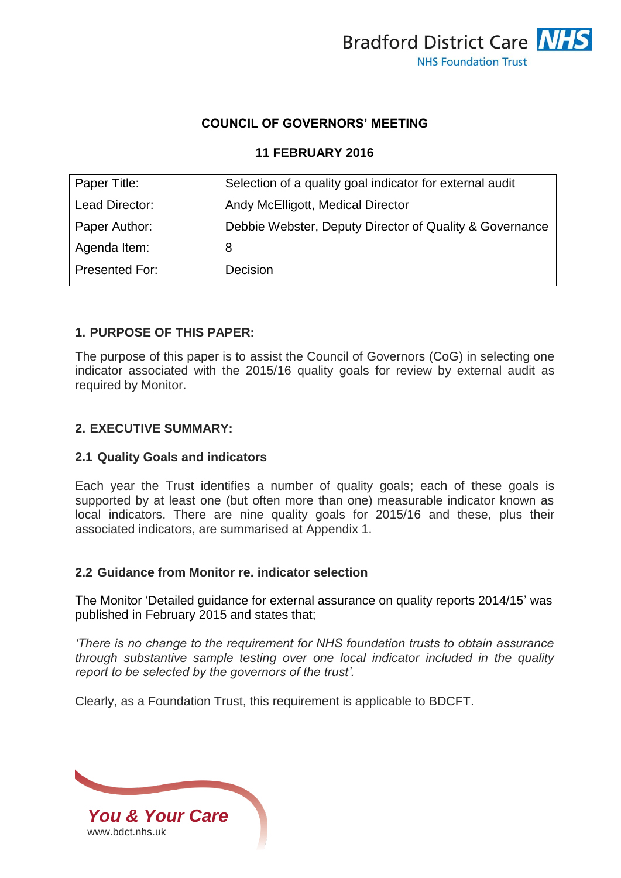

## **COUNCIL OF GOVERNORS' MEETING**

### **11 FEBRUARY 2016**

| Paper Title:   | Selection of a quality goal indicator for external audit |  |
|----------------|----------------------------------------------------------|--|
| Lead Director: | Andy McElligott, Medical Director                        |  |
| Paper Author:  | Debbie Webster, Deputy Director of Quality & Governance  |  |
| Agenda Item:   | 8                                                        |  |
| Presented For: | Decision                                                 |  |

## **1. PURPOSE OF THIS PAPER:**

The purpose of this paper is to assist the Council of Governors (CoG) in selecting one indicator associated with the 2015/16 quality goals for review by external audit as required by Monitor.

#### **2. EXECUTIVE SUMMARY:**

#### **2.1 Quality Goals and indicators**

Each year the Trust identifies a number of quality goals; each of these goals is supported by at least one (but often more than one) measurable indicator known as local indicators. There are nine quality goals for 2015/16 and these, plus their associated indicators, are summarised at Appendix 1.

#### **2.2 Guidance from Monitor re. indicator selection**

The Monitor 'Detailed guidance for external assurance on quality reports 2014/15' was published in February 2015 and states that;

*'There is no change to the requirement for NHS foundation trusts to obtain assurance through substantive sample testing over one local indicator included in the quality report to be selected by the governors of the trust'.*

Clearly, as a Foundation Trust, this requirement is applicable to BDCFT.

*You & Your Care* [www.bdct.nhs.uk](http://www.bdct.nhs.uk/)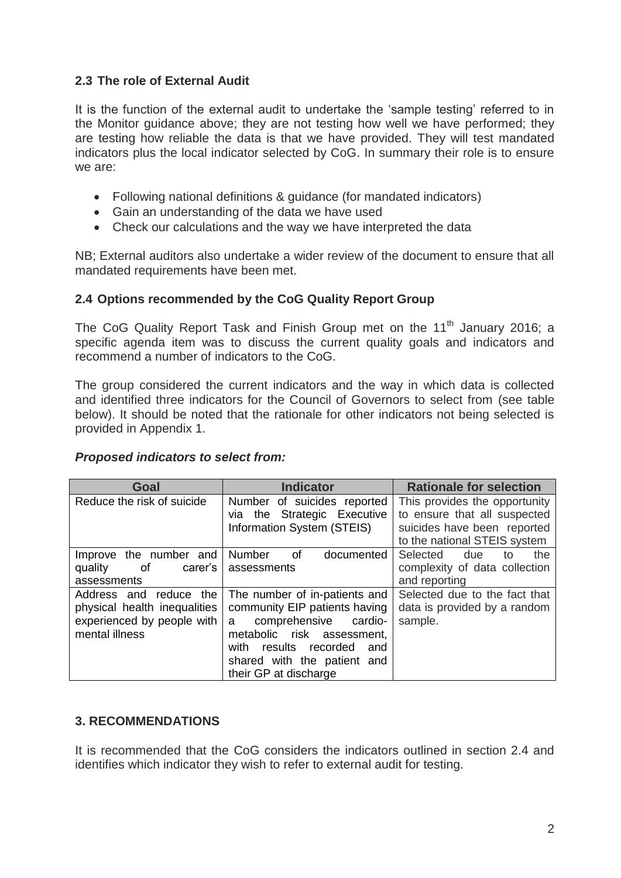# **2.3 The role of External Audit**

It is the function of the external audit to undertake the 'sample testing' referred to in the Monitor guidance above; they are not testing how well we have performed; they are testing how reliable the data is that we have provided. They will test mandated indicators plus the local indicator selected by CoG. In summary their role is to ensure we are:

- Following national definitions & guidance (for mandated indicators)
- Gain an understanding of the data we have used
- Check our calculations and the way we have interpreted the data

NB; External auditors also undertake a wider review of the document to ensure that all mandated requirements have been met.

# **2.4 Options recommended by the CoG Quality Report Group**

The CoG Quality Report Task and Finish Group met on the 11<sup>th</sup> January 2016; a specific agenda item was to discuss the current quality goals and indicators and recommend a number of indicators to the CoG.

The group considered the current indicators and the way in which data is collected and identified three indicators for the Council of Governors to select from (see table below). It should be noted that the rationale for other indicators not being selected is provided in Appendix 1.

## *Proposed indicators to select from:*

| Goal                         | <b>Indicator</b>                | <b>Rationale for selection</b> |
|------------------------------|---------------------------------|--------------------------------|
| Reduce the risk of suicide   | Number of suicides reported     | This provides the opportunity  |
|                              | via the Strategic Executive     | to ensure that all suspected   |
|                              | Information System (STEIS)      | suicides have been reported    |
|                              |                                 | to the national STEIS system   |
| Improve the number and       | Number<br>0f<br>documented      | Selected<br>due<br>the<br>to   |
| of<br>quality<br>carer's     | assessments                     | complexity of data collection  |
| assessments                  |                                 | and reporting                  |
| Address and<br>the<br>reduce | The number of in-patients and   | Selected due to the fact that  |
| physical health inequalities | community EIP patients having   | data is provided by a random   |
| experienced by people with   | comprehensive<br>cardio-<br>a   | sample.                        |
| mental illness               | metabolic risk assessment,      |                                |
|                              | results recorded<br>with<br>and |                                |
|                              | shared with the patient and     |                                |
|                              | their GP at discharge           |                                |

## **3. RECOMMENDATIONS**

It is recommended that the CoG considers the indicators outlined in section 2.4 and identifies which indicator they wish to refer to external audit for testing.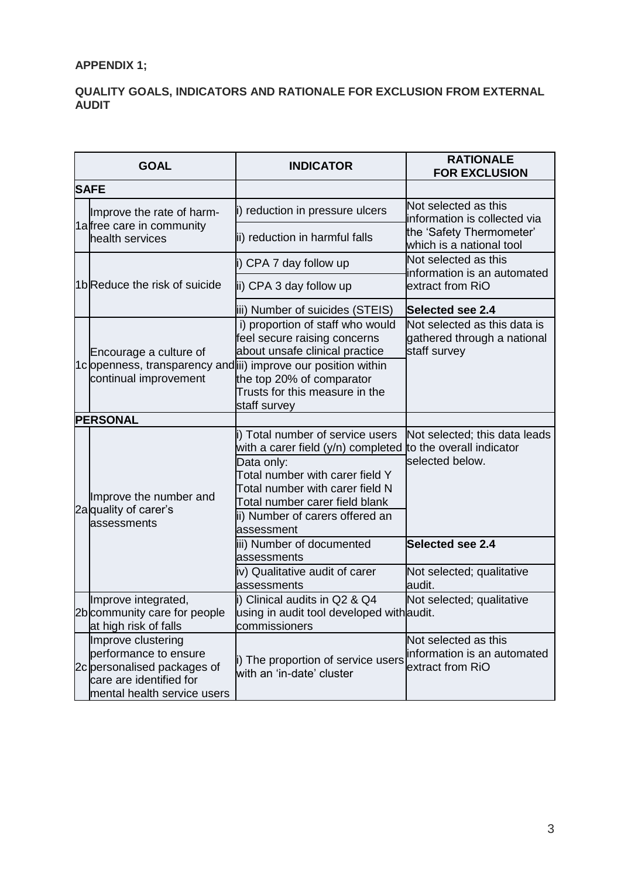# **APPENDIX 1;**

### **QUALITY GOALS, INDICATORS AND RATIONALE FOR EXCLUSION FROM EXTERNAL AUDIT**

|             | <b>GOAL</b>                                                                                                                          | <b>INDICATOR</b>                                                                                                                                                                                                                              | <b>RATIONALE</b><br><b>FOR EXCLUSION</b>                                     |
|-------------|--------------------------------------------------------------------------------------------------------------------------------------|-----------------------------------------------------------------------------------------------------------------------------------------------------------------------------------------------------------------------------------------------|------------------------------------------------------------------------------|
| <b>SAFE</b> |                                                                                                                                      |                                                                                                                                                                                                                                               |                                                                              |
|             | Improve the rate of harm-<br>1afree care in community<br>health services                                                             | i) reduction in pressure ulcers                                                                                                                                                                                                               | Not selected as this<br>information is collected via                         |
|             |                                                                                                                                      | ii) reduction in harmful falls                                                                                                                                                                                                                | the 'Safety Thermometer'<br>which is a national tool                         |
|             | 1bReduce the risk of suicide                                                                                                         | i) CPA 7 day follow up                                                                                                                                                                                                                        | Not selected as this<br>information is an automated                          |
|             |                                                                                                                                      | ii) CPA 3 day follow up                                                                                                                                                                                                                       | extract from RiO                                                             |
|             |                                                                                                                                      | iii) Number of suicides (STEIS)                                                                                                                                                                                                               | <b>Selected see 2.4</b>                                                      |
|             | Encourage a culture of<br>continual improvement                                                                                      | i) proportion of staff who would<br>feel secure raising concerns<br>about unsafe clinical practice                                                                                                                                            | Not selected as this data is<br>gathered through a national<br>staff survey  |
|             |                                                                                                                                      | 1clopenness, transparency and iii) improve our position within<br>the top 20% of comparator<br>Trusts for this measure in the<br>staff survey                                                                                                 |                                                                              |
|             | <b>PERSONAL</b>                                                                                                                      |                                                                                                                                                                                                                                               |                                                                              |
|             | Improve the number and<br>2a quality of carer's<br>assessments                                                                       | i) Total number of service users<br>with a carer field (y/n) completed<br>Data only:<br>Total number with carer field Y<br>Total number with carer field N<br>Total number carer field blank<br>ii) Number of carers offered an<br>assessment | Not selected; this data leads<br>to the overall indicator<br>selected below. |
|             |                                                                                                                                      | iii) Number of documented<br>assessments                                                                                                                                                                                                      | Selected see 2.4                                                             |
|             |                                                                                                                                      | iv) Qualitative audit of carer<br>assessments                                                                                                                                                                                                 | Not selected; qualitative<br>audit.                                          |
|             | Improve integrated,<br>2b community care for people<br>at high risk of falls                                                         | i) Clinical audits in Q2 & Q4<br>using in audit tool developed with audit.<br>commissioners                                                                                                                                                   | Not selected; qualitative                                                    |
|             | Improve clustering<br>performance to ensure<br>2c personalised packages of<br>care are identified for<br>mental health service users | i) The proportion of service users<br>with an 'in-date' cluster                                                                                                                                                                               | Not selected as this<br>information is an automated<br>extract from RiO      |